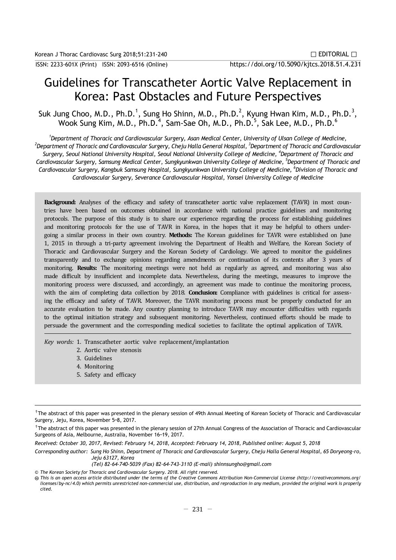ISSN: 2233-601X (Print) ISSN: 2093-6516 (Online)

# Guidelines for Transcatheter Aortic Valve Replacement in Korea: Past Obstacles and Future Perspectives

Suk Jung Choo, M.D., Ph.D.<sup>1</sup>, Sung Ho Shinn, M.D., Ph.D.<sup>2</sup>, Kyung Hwan Kim, M.D., Ph.D.<sup>3</sup>, Wook Sung Kim, M.D., Ph.D.<sup>4</sup>, Sam-Sae Oh, M.D., Ph.D.<sup>5</sup>, Sak Lee, M.D., Ph.D.<sup>6</sup>

<sup>1</sup> Department of Thoracic and Cardiovascular Surgery, Asan Medical Center, University of Ulsan College of Medicine,<br><sup>2</sup> Department of Thoracic and Cardiovascular Surgery, Choiu Helle Conoral Hespital, <sup>3</sup> Department of Th *Department of Thoracic and Cardiovascular Surgery, Cheju Halla General Hospital, 3 Department of Thoracic and Cardiovascular Surgery, Seoul National University Hospital, Seoul National University College of Medicine, 4 Department of Thoracic and Cardiovascular Surgery, Samsung Medical Center, Sungkyunkwan University College of Medicine, 5 Department of Thoracic and Cardiovascular Surgery, Kangbuk Samsung Hospital, Sungkyunkwan University College of Medicine, 6 Division of Thoracic and Cardiovascular Surgery, Severance Cardiovascular Hospital, Yonsei University College of Medicine*

**Background:** Analyses of the efficacy and safety of transcatheter aortic valve replacement (TAVR) in most countries have been based on outcomes obtained in accordance with national practice guidelines and monitoring protocols. The purpose of this study is to share our experience regarding the process for establishing guidelines and monitoring protocols for the use of TAVR in Korea, in the hopes that it may be helpful to others undergoing a similar process in their own country. **Methods:** The Korean guidelines for TAVR were established on June 1, 2015 in through a tri-party agreement involving the Department of Health and Welfare, the Korean Society of Thoracic and Cardiovascular Surgery and the Korean Society of Cardiology. We agreed to monitor the guidelines transparently and to exchange opinions regarding amendments or continuation of its contents after 3 years of monitoring. **Results:** The monitoring meetings were not held as regularly as agreed, and monitoring was also made difficult by insufficient and incomplete data. Nevertheless, during the meetings, measures to improve the monitoring process were discussed, and accordingly, an agreement was made to continue the monitoring process, with the aim of completing data collection by 2018. **Conclusion:** Compliance with guidelines is critical for assessing the efficacy and safety of TAVR. Moreover, the TAVR monitoring process must be properly conducted for an accurate evaluation to be made. Any country planning to introduce TAVR may encounter difficulties with regards to the optimal initiation strategy and subsequent monitoring. Nevertheless, continued efforts should be made to persuade the government and the corresponding medical societies to facilitate the optimal application of TAVR.

*Key words:* 1. Transcatheter aortic valve replacement/implantation

- 2. Aortic valve stenosis
- 3. Guidelines
- 4. Monitoring
- 5. Safety and efficacy

<sup>†</sup>The abstract of this paper was presented in the plenary session of 27th Annual Congress of the Association of Thoracic and Cardiovascular Surgeons of Asia, Melbourne, Australia, November 16–19, 2017.

*Received: October 30, 2017, Revised: February 14, 2018, Accepted: February 14, 2018, Published online: August 5, 2018*

*Corresponding author: Sung Ho Shinn, Department of Thoracic and Cardiovascular Surgery, Cheju Halla General Hospital, 65 Doryeong-ro, Jeju 63127, Korea*

*(Tel) 82-64-740-5039 (Fax) 82-64-743-3110 (E-mail) shinnsungho@gmail.com*

<sup>†</sup>The abstract of this paper was presented in the plenary session of 49th Annual Meeting of Korean Society of Thoracic and Cardiovascular Surgery, Jeju, Korea, November 5–8, 2017.

*<sup>©</sup> The Korean Society for Thoracic and Cardiovascular Surgery. 2018. All right reserved.*

*This is an open access article distributed under the terms of the Creative Commons Attribution Non-Commercial License (http://creativecommons.org/ licenses/by-nc/4.0) which permits unrestricted non-commercial use, distribution, and reproduction in any medium, provided the original work is properly cited.*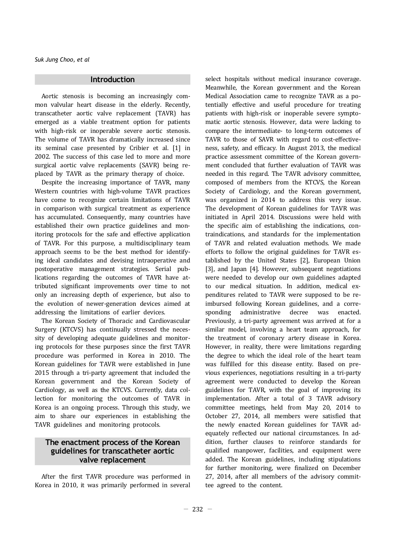## **Introduction**

Aortic stenosis is becoming an increasingly common valvular heart disease in the elderly. Recently, transcatheter aortic valve replacement (TAVR) has emerged as a viable treatment option for patients with high-risk or inoperable severe aortic stenosis. The volume of TAVR has dramatically increased since its seminal case presented by Cribier et al. [1] in 2002. The success of this case led to more and more surgical aortic valve replacements (SAVR) being replaced by TAVR as the primary therapy of choice.

Despite the increasing importance of TAVR, many Western countries with high-volume TAVR practices have come to recognize certain limitations of TAVR in comparison with surgical treatment as experience has accumulated. Consequently, many countries have established their own practice guidelines and monitoring protocols for the safe and effective application of TAVR. For this purpose, a multidisciplinary team approach seems to be the best method for identifying ideal candidates and devising intraoperative and postoperative management strategies. Serial publications regarding the outcomes of TAVR have attributed significant improvements over time to not only an increasing depth of experience, but also to the evolution of newer-generation devices aimed at addressing the limitations of earlier devices.

The Korean Society of Thoracic and Cardiovascular Surgery (KTCVS) has continually stressed the necessity of developing adequate guidelines and monitoring protocols for these purposes since the first TAVR procedure was performed in Korea in 2010. The Korean guidelines for TAVR were established in June 2015 through a tri-party agreement that included the Korean government and the Korean Society of Cardiology, as well as the KTCVS. Currently, data collection for monitoring the outcomes of TAVR in Korea is an ongoing process. Through this study, we aim to share our experiences in establishing the TAVR guidelines and monitoring protocols.

## **The enactment process of the Korean guidelines for transcatheter aortic valve replacement**

After the first TAVR procedure was performed in Korea in 2010, it was primarily performed in several select hospitals without medical insurance coverage. Meanwhile, the Korean government and the Korean Medical Association came to recognize TAVR as a potentially effective and useful procedure for treating patients with high-risk or inoperable severe symptomatic aortic stenosis. However, data were lacking to compare the intermediate- to long-term outcomes of TAVR to those of SAVR with regard to cost-effectiveness, safety, and efficacy. In August 2013, the medical practice assessment committee of the Korean government concluded that further evaluation of TAVR was needed in this regard. The TAVR advisory committee, composed of members from the KTCVS, the Korean Society of Cardiology, and the Korean government, was organized in 2014 to address this very issue. The development of Korean guidelines for TAVR was initiated in April 2014. Discussions were held with the specific aim of establishing the indications, contraindications, and standards for the implementation of TAVR and related evaluation methods. We made efforts to follow the original guidelines for TAVR established by the United States [2], European Union [3], and Japan [4]. However, subsequent negotiations were needed to develop our own guidelines adapted to our medical situation. In addition, medical expenditures related to TAVR were supposed to be reimbursed following Korean guidelines, and a corresponding administrative decree was enacted. Previously, a tri-party agreement was arrived at for a similar model, involving a heart team approach, for the treatment of coronary artery disease in Korea. However, in reality, there were limitations regarding the degree to which the ideal role of the heart team was fulfilled for this disease entity. Based on previous experiences, negotiations resulting in a tri-party agreement were conducted to develop the Korean guidelines for TAVR, with the goal of improving its implementation. After a total of 3 TAVR advisory committee meetings, held from May 20, 2014 to October 27, 2014, all members were satisfied that the newly enacted Korean guidelines for TAVR adequately reflected our national circumstances. In addition, further clauses to reinforce standards for qualified manpower, facilities, and equipment were added. The Korean guidelines, including stipulations for further monitoring, were finalized on December 27, 2014, after all members of the advisory committee agreed to the content.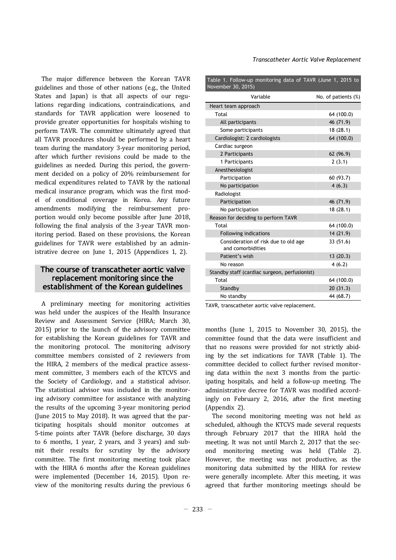The major difference between the Korean TAVR guidelines and those of other nations (e.g., the United States and Japan) is that all aspects of our regulations regarding indications, contraindications, and standards for TAVR application were loosened to provide greater opportunities for hospitals wishing to perform TAVR. The committee ultimately agreed that all TAVR procedures should be performed by a heart team during the mandatory 3-year monitoring period, after which further revisions could be made to the guidelines as needed. During this period, the government decided on a policy of 20% reimbursement for medical expenditures related to TAVR by the national medical insurance program, which was the first model of conditional coverage in Korea. Any future amendments modifying the reimbursement proportion would only become possible after June 2018, following the final analysis of the 3-year TAVR monitoring period. Based on these provisions, the Korean guidelines for TAVR were established by an administrative decree on June 1, 2015 (Appendices 1, 2).

# **The course of transcatheter aortic valve replacement monitoring since the establishment of the Korean guidelines**

A preliminary meeting for monitoring activities was held under the auspices of the Health Insurance Review and Assessment Service (HIRA; March 30, 2015) prior to the launch of the advisory committee for establishing the Korean guidelines for TAVR and the monitoring protocol. The monitoring advisory committee members consisted of 2 reviewers from the HIRA, 2 members of the medical practice assessment committee, 3 members each of the KTCVS and the Society of Cardiology, and a statistical advisor. The statistical advisor was included in the monitoring advisory committee for assistance with analyzing the results of the upcoming 3-year monitoring period (June 2015 to May 2018). It was agreed that the participating hospitals should monitor outcomes at 5-time points after TAVR (before discharge, 30 days to 6 months, 1 year, 2 years, and 3 years) and submit their results for scrutiny by the advisory committee. The first monitoring meeting took place with the HIRA 6 months after the Korean guidelines were implemented (December 14, 2015). Upon review of the monitoring results during the previous 6

### *Transcatheter Aortic Valve Replacement*

| Table 1. Follow-up monitoring data of TAVR (June 1, 2015 to<br>November 30, 2015) |                     |
|-----------------------------------------------------------------------------------|---------------------|
| Variable                                                                          | No. of patients (%) |
| Heart team approach                                                               |                     |
| Total                                                                             | 64 (100.0)          |
| All participants                                                                  | 46 (71.9)           |
| Some participants                                                                 | 18(28.1)            |
| Cardiologist: 2 cardiologists                                                     | 64 (100.0)          |
| Cardiac surgeon                                                                   |                     |
| 2 Participants                                                                    | 62(96.9)            |
| 1 Participants                                                                    | 2(3.1)              |
| Anesthesiologist                                                                  |                     |
| Participation                                                                     | 60 (93.7)           |
| No participation                                                                  | 4(6.3)              |
| Radiologist                                                                       |                     |
| Participation                                                                     | 46 (71.9)           |
| No participation                                                                  | 18(28.1)            |
| Reason for deciding to perform TAVR                                               |                     |
| Total                                                                             | 64 (100.0)          |
| Following indications                                                             | 14 (21.9)           |
| Consideration of risk due to old age<br>and comorbidities                         | 33 (51.6)           |
| Patient's wish                                                                    | 13(20.3)            |
| No reason                                                                         | 4(6.2)              |
| Standby staff (cardiac surgeon, perfusionist)                                     |                     |
| Total                                                                             | 64 (100.0)          |
| Standby                                                                           | 20(31.3)            |
| No standby                                                                        | 44 (68.7)           |

TAVR, transcatheter aortic valve replacement.

months (June 1, 2015 to November 30, 2015), the committee found that the data were insufficient and that no reasons were provided for not strictly abiding by the set indications for TAVR (Table 1). The committee decided to collect further revised monitoring data within the next 3 months from the participating hospitals, and held a follow-up meeting. The administrative decree for TAVR was modified accordingly on February 2, 2016, after the first meeting (Appendix 2).

The second monitoring meeting was not held as scheduled, although the KTCVS made several requests through February 2017 that the HIRA hold the meeting. It was not until March 2, 2017 that the second monitoring meeting was held (Table 2). However, the meeting was not productive, as the monitoring data submitted by the HIRA for review were generally incomplete. After this meeting, it was agreed that further monitoring meetings should be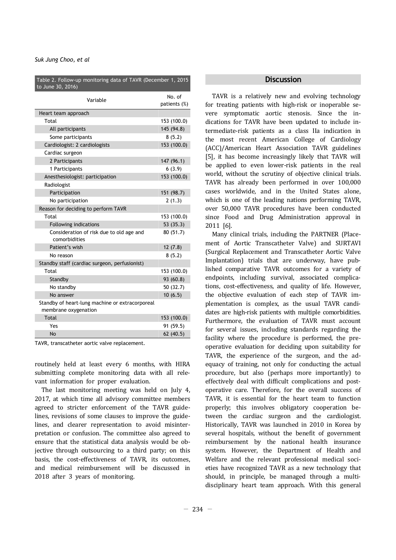## *Suk Jung Choo, et al*

| Table 2. Follow-up monitoring data of TAVR (December 1, 2015 |  |  |  |
|--------------------------------------------------------------|--|--|--|
| to June 30, 2016)                                            |  |  |  |

| Variable                                                                | No. of<br>patients (%) |  |  |
|-------------------------------------------------------------------------|------------------------|--|--|
| Heart team approach                                                     |                        |  |  |
| Total                                                                   | 153 (100.0)            |  |  |
| All participants                                                        | 145 (94.8)             |  |  |
| Some participants                                                       | 8(5.2)                 |  |  |
| Cardiologist: 2 cardiologists                                           | 153 (100.0)            |  |  |
| Cardiac surgeon                                                         |                        |  |  |
| 2 Participants                                                          | 147 (96.1)             |  |  |
| 1 Participants                                                          | 6(3.9)                 |  |  |
| Anesthesiologist: participation                                         | 153 (100.0)            |  |  |
| Radiologist                                                             |                        |  |  |
| Participation                                                           | 151 (98.7)             |  |  |
| No participation                                                        | 2(1.3)                 |  |  |
| Reason for deciding to perform TAVR                                     |                        |  |  |
| Total                                                                   | 153 (100.0)            |  |  |
| <b>Following indications</b>                                            | 53 (35.3)              |  |  |
| Consideration of risk due to old age and<br>comorbidities               | 80 (51.7)              |  |  |
| Patient's wish                                                          | 12(7.8)                |  |  |
| No reason                                                               | 8(5.2)                 |  |  |
| Standby staff (cardiac surgeon, perfusionist)                           |                        |  |  |
| Total                                                                   | 153 (100.0)            |  |  |
| Standby                                                                 | 93 (60.8)              |  |  |
| No standby                                                              | 50 (32.7)              |  |  |
| No answer                                                               | 10(6.5)                |  |  |
| Standby of heart-lung machine or extracorporeal<br>membrane oxygenation |                        |  |  |
| Total                                                                   | 153 (100.0)            |  |  |
| Yes                                                                     | 91 (59.5)              |  |  |
| No                                                                      | 62(40.5)               |  |  |

TAVR, transcatheter aortic valve replacement.

routinely held at least every 6 months, with HIRA submitting complete monitoring data with all relevant information for proper evaluation.

The last monitoring meeting was held on July 4, 2017, at which time all advisory committee members agreed to stricter enforcement of the TAVR guidelines, revisions of some clauses to improve the guidelines, and clearer representation to avoid misinterpretation or confusion. The committee also agreed to ensure that the statistical data analysis would be objective through outsourcing to a third party; on this basis, the cost-effectiveness of TAVR, its outcomes, and medical reimbursement will be discussed in 2018 after 3 years of monitoring.

## **Discussion**

TAVR is a relatively new and evolving technology for treating patients with high-risk or inoperable severe symptomatic aortic stenosis. Since the indications for TAVR have been updated to include intermediate-risk patients as a class IIa indication in the most recent American College of Cardiology (ACC)/American Heart Association TAVR guidelines [5], it has become increasingly likely that TAVR will be applied to even lower-risk patients in the real world, without the scrutiny of objective clinical trials. TAVR has already been performed in over 100,000 cases worldwide, and in the United States alone, which is one of the leading nations performing TAVR, over 50,000 TAVR procedures have been conducted since Food and Drug Administration approval in 2011 [6].

Many clinical trials, including the PARTNER (Placement of Aortic Transcatheter Valve) and SURTAVI (Surgical Replacement and Transcatheter Aortic Valve Implantation) trials that are underway, have published comparative TAVR outcomes for a variety of endpoints, including survival, associated complications, cost-effectiveness, and quality of life. However, the objective evaluation of each step of TAVR implementation is complex, as the usual TAVR candidates are high-risk patients with multiple comorbidities. Furthermore, the evaluation of TAVR must account for several issues, including standards regarding the facility where the procedure is performed, the preoperative evaluation for deciding upon suitability for TAVR, the experience of the surgeon, and the adequacy of training, not only for conducting the actual procedure, but also (perhaps more importantly) to effectively deal with difficult complications and postoperative care. Therefore, for the overall success of TAVR, it is essential for the heart team to function properly; this involves obligatory cooperation between the cardiac surgeon and the cardiologist. Historically, TAVR was launched in 2010 in Korea by several hospitals, without the benefit of government reimbursement by the national health insurance system. However, the Department of Health and Welfare and the relevant professional medical societies have recognized TAVR as a new technology that should, in principle, be managed through a multidisciplinary heart team approach. With this general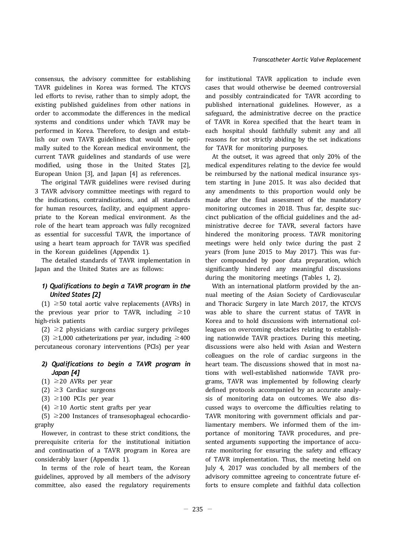consensus, the advisory committee for establishing TAVR guidelines in Korea was formed. The KTCVS led efforts to revise, rather than to simply adopt, the existing published guidelines from other nations in order to accommodate the differences in the medical systems and conditions under which TAVR may be performed in Korea. Therefore, to design and establish our own TAVR guidelines that would be optimally suited to the Korean medical environment, the current TAVR guidelines and standards of use were modified, using those in the United States [2], European Union [3], and Japan [4] as references.

The original TAVR guidelines were revised during 3 TAVR advisory committee meetings with regard to the indications, contraindications, and all standards for human resources, facility, and equipment appropriate to the Korean medical environment. As the role of the heart team approach was fully recognized as essential for successful TAVR, the importance of using a heart team approach for TAVR was specified in the Korean guidelines (Appendix 1).

The detailed standards of TAVR implementation in Japan and the United States are as follows:

## *1) Qualifications to begin a TAVR program in the United States [2]*

(1)  $\geq$  50 total aortic valve replacements (AVRs) in the previous year prior to TAVR, including  $\geq 10$ high-risk patients

(2)  $\geq$ 2 physicians with cardiac surgery privileges

(3) ≥1,000 catheterizations per year, including ≥400 percutaneous coronary interventions (PCIs) per year

## *2) Qualifications to begin a TAVR program in Japan [4]*

- (1)  $\geq$  20 AVRs per year
- (2)  $\geq$ 3 Cardiac surgeons
- $(3) \ge 100$  PCIs per year
- (4)  $\geq$  10 Aortic stent grafts per year

 $(5) \geq 200$  Instances of transesophageal echocardiography

However, in contrast to these strict conditions, the prerequisite criteria for the institutional initiation and continuation of a TAVR program in Korea are considerably laxer (Appendix 1).

In terms of the role of heart team, the Korean guidelines, approved by all members of the advisory committee, also eased the regulatory requirements for institutional TAVR application to include even cases that would otherwise be deemed controversial and possibly contraindicated for TAVR according to published international guidelines. However, as a safeguard, the administrative decree on the practice of TAVR in Korea specified that the heart team in each hospital should faithfully submit any and all reasons for not strictly abiding by the set indications for TAVR for monitoring purposes.

At the outset, it was agreed that only 20% of the medical expenditures relating to the device fee would be reimbursed by the national medical insurance system starting in June 2015. It was also decided that any amendments to this proportion would only be made after the final assessment of the mandatory monitoring outcomes in 2018. Thus far, despite succinct publication of the official guidelines and the administrative decree for TAVR, several factors have hindered the monitoring process. TAVR monitoring meetings were held only twice during the past 2 years (from June 2015 to May 2017). This was further compounded by poor data preparation, which significantly hindered any meaningful discussions during the monitoring meetings (Tables 1, 2).

With an international platform provided by the annual meeting of the Asian Society of Cardiovascular and Thoracic Surgery in late March 2017, the KTCVS was able to share the current status of TAVR in Korea and to hold discussions with international colleagues on overcoming obstacles relating to establishing nationwide TAVR practices. During this meeting, discussions were also held with Asian and Western colleagues on the role of cardiac surgeons in the heart team. The discussions showed that in most nations with well-established nationwide TAVR programs, TAVR was implemented by following clearly defined protocols accompanied by an accurate analysis of monitoring data on outcomes. We also discussed ways to overcome the difficulties relating to TAVR monitoring with government officials and parliamentary members. We informed them of the importance of monitoring TAVR procedures, and presented arguments supporting the importance of accurate monitoring for ensuring the safety and efficacy of TAVR implementation. Thus, the meeting held on July 4, 2017 was concluded by all members of the advisory committee agreeing to concentrate future efforts to ensure complete and faithful data collection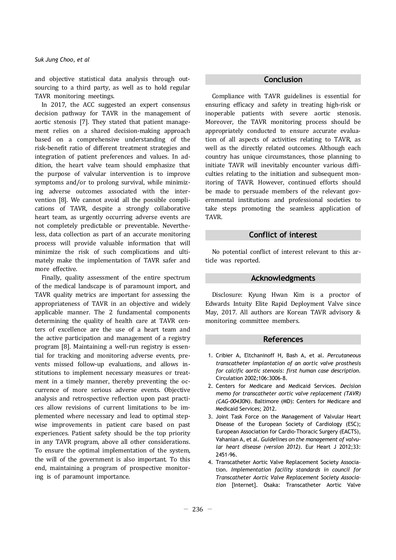and objective statistical data analysis through outsourcing to a third party, as well as to hold regular TAVR monitoring meetings.

In 2017, the ACC suggested an expert consensus decision pathway for TAVR in the management of aortic stenosis [7]. They stated that patient management relies on a shared decision-making approach based on a comprehensive understanding of the risk-benefit ratio of different treatment strategies and integration of patient preferences and values. In addition, the heart valve team should emphasize that the purpose of valvular intervention is to improve symptoms and/or to prolong survival, while minimizing adverse outcomes associated with the intervention [8]. We cannot avoid all the possible complications of TAVR, despite a strongly collaborative heart team, as urgently occurring adverse events are not completely predictable or preventable. Nevertheless, data collection as part of an accurate monitoring process will provide valuable information that will minimize the risk of such complications and ultimately make the implementation of TAVR safer and more effective.

Finally, quality assessment of the entire spectrum of the medical landscape is of paramount import, and TAVR quality metrics are important for assessing the appropriateness of TAVR in an objective and widely applicable manner. The 2 fundamental components determining the quality of health care at TAVR centers of excellence are the use of a heart team and the active participation and management of a registry program [8]. Maintaining a well-run registry is essential for tracking and monitoring adverse events, prevents missed follow-up evaluations, and allows institutions to implement necessary measures or treatment in a timely manner, thereby preventing the occurrence of more serious adverse events. Objective analysis and retrospective reflection upon past practices allow revisions of current limitations to be implemented where necessary and lead to optimal stepwise improvements in patient care based on past experiences. Patient safety should be the top priority in any TAVR program, above all other considerations. To ensure the optimal implementation of the system, the will of the government is also important. To this end, maintaining a program of prospective monitoring is of paramount importance.

## **Conclusion**

Compliance with TAVR guidelines is essential for ensuring efficacy and safety in treating high-risk or inoperable patients with severe aortic stenosis. Moreover, the TAVR monitoring process should be appropriately conducted to ensure accurate evaluation of all aspects of activities relating to TAVR, as well as the directly related outcomes. Although each country has unique circumstances, those planning to initiate TAVR will inevitably encounter various difficulties relating to the initiation and subsequent monitoring of TAVR. However, continued efforts should be made to persuade members of the relevant governmental institutions and professional societies to take steps promoting the seamless application of TAVR.

## **Conflict of interest**

No potential conflict of interest relevant to this article was reported.

## **Acknowledgments**

Disclosure: Kyung Hwan Kim is a proctor of Edwards Intuity Elite Rapid Deployment Valve since May, 2017. All authors are Korean TAVR advisory & monitoring committee members.

#### **References**

- 1. Cribier A, Eltchaninoff H, Bash A, et al. *Percutaneous transcatheter implantation of an aortic valve prosthesis for calcific aortic stenosis: first human case description.*  Circulation 2002;106:3006-8.
- 2. Centers for Medicare and Medicaid Services. *Decision memo for transcatheter aortic valve replacement (TAVR) (CAG-00430N).* Baltimore (MD): Centers for Medicare and Medicaid Services; 2012.
- 3. Joint Task Force on the Management of Valvular Heart Disease of the European Society of Cardiology (ESC); European Association for Cardio-Thoracic Surgery (EACTS), Vahanian A, et al. *Guidelines on the management of valvular heart disease (version 2012).* Eur Heart J 2012;33: 2451-96.
- 4. Transcatheter Aortic Valve Replacement Society Association. *Implementation facility standards in council for Transcatheter Aortic Valve Replacement Society Association* [Internet]. Osaka: Transcatheter Aortic Valve